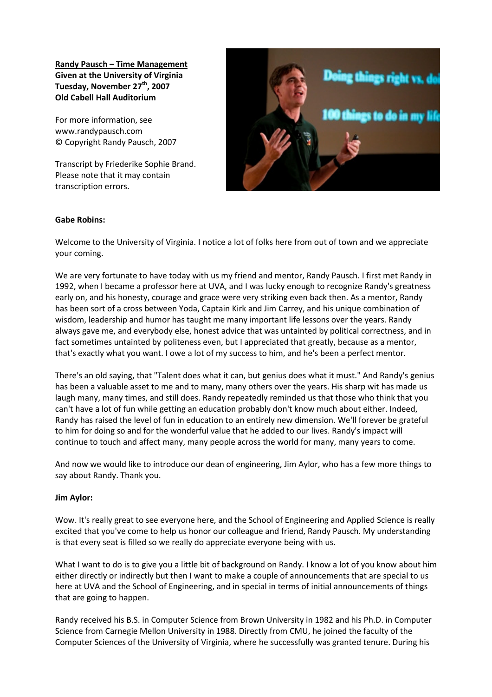Randy Pausch – Time Management Given at the University of Virginia Tuesday, November 27<sup>th</sup>, 2007 Old Cabell Hall Auditorium

For more information, see www.randypausch.com © Copyright Randy Pausch, 2007

Transcript by Friederike Sophie Brand. Please note that it may contain transcription errors.



## Gabe Robins:

Welcome to the University of Virginia. I notice a lot of folks here from out of town and we appreciate your coming.

We are very fortunate to have today with us my friend and mentor, Randy Pausch. I first met Randy in 1992, when I became a professor here at UVA, and I was lucky enough to recognize Randy's greatness early on, and his honesty, courage and grace were very striking even back then. As a mentor, Randy has been sort of a cross between Yoda, Captain Kirk and Jim Carrey, and his unique combination of wisdom, leadership and humor has taught me many important life lessons over the years. Randy always gave me, and everybody else, honest advice that was untainted by political correctness, and in fact sometimes untainted by politeness even, but I appreciated that greatly, because as a mentor, that's exactly what you want. I owe a lot of my success to him, and he's been a perfect mentor.

There's an old saying, that "Talent does what it can, but genius does what it must." And Randy's genius has been a valuable asset to me and to many, many others over the years. His sharp wit has made us laugh many, many times, and still does. Randy repeatedly reminded us that those who think that you can't have a lot of fun while getting an education probably don't know much about either. Indeed, Randy has raised the level of fun in education to an entirely new dimension. We'll forever be grateful to him for doing so and for the wonderful value that he added to our lives. Randy's impact will continue to touch and affect many, many people across the world for many, many years to come.

And now we would like to introduce our dean of engineering, Jim Aylor, who has a few more things to say about Randy. Thank you.

## Jim Aylor:

Wow. It's really great to see everyone here, and the School of Engineering and Applied Science is really excited that you've come to help us honor our colleague and friend, Randy Pausch. My understanding is that every seat is filled so we really do appreciate everyone being with us.

What I want to do is to give you a little bit of background on Randy. I know a lot of you know about him either directly or indirectly but then I want to make a couple of announcements that are special to us here at UVA and the School of Engineering, and in special in terms of initial announcements of things that are going to happen.

Randy received his B.S. in Computer Science from Brown University in 1982 and his Ph.D. in Computer Science from Carnegie Mellon University in 1988. Directly from CMU, he joined the faculty of the Computer Sciences of the University of Virginia, where he successfully was granted tenure. During his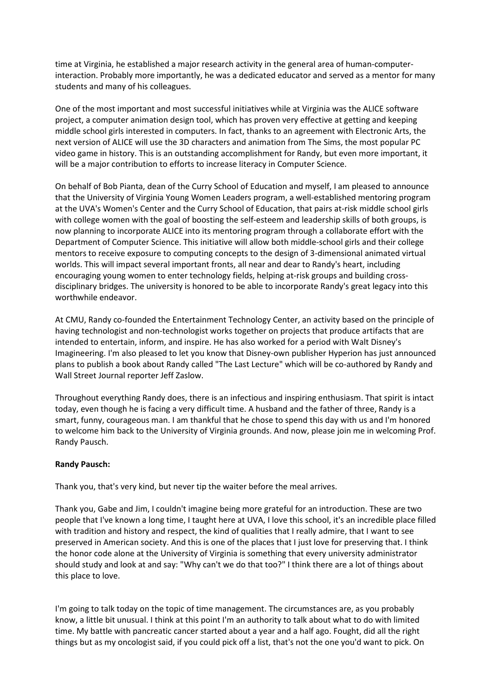time at Virginia, he established a major research activity in the general area of human-computerinteraction. Probably more importantly, he was a dedicated educator and served as a mentor for many students and many of his colleagues.

One of the most important and most successful initiatives while at Virginia was the ALICE software project, a computer animation design tool, which has proven very effective at getting and keeping middle school girls interested in computers. In fact, thanks to an agreement with Electronic Arts, the next version of ALICE will use the 3D characters and animation from The Sims, the most popular PC video game in history. This is an outstanding accomplishment for Randy, but even more important, it will be a major contribution to efforts to increase literacy in Computer Science.

On behalf of Bob Pianta, dean of the Curry School of Education and myself, I am pleased to announce that the University of Virginia Young Women Leaders program, a well-established mentoring program at the UVA's Women's Center and the Curry School of Education, that pairs at-risk middle school girls with college women with the goal of boosting the self-esteem and leadership skills of both groups, is now planning to incorporate ALICE into its mentoring program through a collaborate effort with the Department of Computer Science. This initiative will allow both middle-school girls and their college mentors to receive exposure to computing concepts to the design of 3-dimensional animated virtual worlds. This will impact several important fronts, all near and dear to Randy's heart, including encouraging young women to enter technology fields, helping at-risk groups and building crossdisciplinary bridges. The university is honored to be able to incorporate Randy's great legacy into this worthwhile endeavor.

At CMU, Randy co-founded the Entertainment Technology Center, an activity based on the principle of having technologist and non-technologist works together on projects that produce artifacts that are intended to entertain, inform, and inspire. He has also worked for a period with Walt Disney's Imagineering. I'm also pleased to let you know that Disney-own publisher Hyperion has just announced plans to publish a book about Randy called "The Last Lecture" which will be co-authored by Randy and Wall Street Journal reporter Jeff Zaslow.

Throughout everything Randy does, there is an infectious and inspiring enthusiasm. That spirit is intact today, even though he is facing a very difficult time. A husband and the father of three, Randy is a smart, funny, courageous man. I am thankful that he chose to spend this day with us and I'm honored to welcome him back to the University of Virginia grounds. And now, please join me in welcoming Prof. Randy Pausch.

## Randy Pausch:

Thank you, that's very kind, but never tip the waiter before the meal arrives.

Thank you, Gabe and Jim, I couldn't imagine being more grateful for an introduction. These are two people that I've known a long time, I taught here at UVA, I love this school, it's an incredible place filled with tradition and history and respect, the kind of qualities that I really admire, that I want to see preserved in American society. And this is one of the places that I just love for preserving that. I think the honor code alone at the University of Virginia is something that every university administrator should study and look at and say: "Why can't we do that too?" I think there are a lot of things about this place to love.

I'm going to talk today on the topic of time management. The circumstances are, as you probably know, a little bit unusual. I think at this point I'm an authority to talk about what to do with limited time. My battle with pancreatic cancer started about a year and a half ago. Fought, did all the right things but as my oncologist said, if you could pick off a list, that's not the one you'd want to pick. On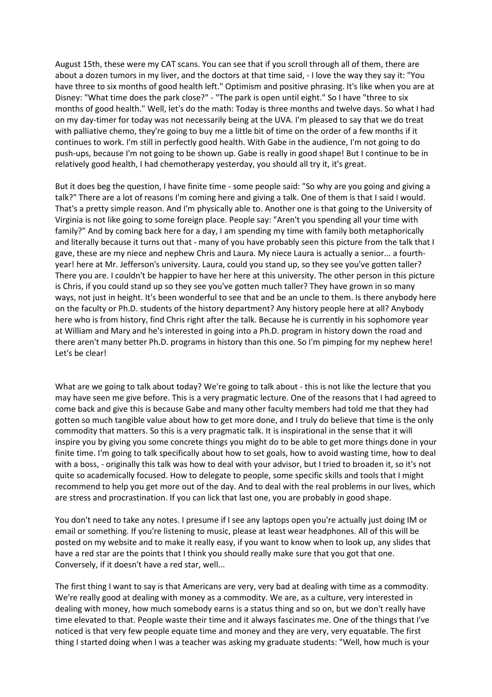August 15th, these were my CAT scans. You can see that if you scroll through all of them, there are about a dozen tumors in my liver, and the doctors at that time said, - I love the way they say it: "You have three to six months of good health left." Optimism and positive phrasing. It's like when you are at Disney: "What time does the park close?" - "The park is open until eight." So I have "three to six months of good health." Well, let's do the math: Today is three months and twelve days. So what I had on my day-timer for today was not necessarily being at the UVA. I'm pleased to say that we do treat with palliative chemo, they're going to buy me a little bit of time on the order of a few months if it continues to work. I'm still in perfectly good health. With Gabe in the audience, I'm not going to do push-ups, because I'm not going to be shown up. Gabe is really in good shape! But I continue to be in relatively good health, I had chemotherapy yesterday, you should all try it, it's great.

But it does beg the question, I have finite time - some people said: "So why are you going and giving a talk?" There are a lot of reasons I'm coming here and giving a talk. One of them is that I said I would. That's a pretty simple reason. And I'm physically able to. Another one is that going to the University of Virginia is not like going to some foreign place. People say: "Aren't you spending all your time with family?" And by coming back here for a day, I am spending my time with family both metaphorically and literally because it turns out that - many of you have probably seen this picture from the talk that I gave, these are my niece and nephew Chris and Laura. My niece Laura is actually a senior... a fourthyear! here at Mr. Jefferson's university. Laura, could you stand up, so they see you've gotten taller? There you are. I couldn't be happier to have her here at this university. The other person in this picture is Chris, if you could stand up so they see you've gotten much taller? They have grown in so many ways, not just in height. It's been wonderful to see that and be an uncle to them. Is there anybody here on the faculty or Ph.D. students of the history department? Any history people here at all? Anybody here who is from history, find Chris right after the talk. Because he is currently in his sophomore year at William and Mary and he's interested in going into a Ph.D. program in history down the road and there aren't many better Ph.D. programs in history than this one. So I'm pimping for my nephew here! Let's be clear!

What are we going to talk about today? We're going to talk about - this is not like the lecture that you may have seen me give before. This is a very pragmatic lecture. One of the reasons that I had agreed to come back and give this is because Gabe and many other faculty members had told me that they had gotten so much tangible value about how to get more done, and I truly do believe that time is the only commodity that matters. So this is a very pragmatic talk. It is inspirational in the sense that it will inspire you by giving you some concrete things you might do to be able to get more things done in your finite time. I'm going to talk specifically about how to set goals, how to avoid wasting time, how to deal with a boss, - originally this talk was how to deal with your advisor, but I tried to broaden it, so it's not quite so academically focused. How to delegate to people, some specific skills and tools that I might recommend to help you get more out of the day. And to deal with the real problems in our lives, which are stress and procrastination. If you can lick that last one, you are probably in good shape.

You don't need to take any notes. I presume if I see any laptops open you're actually just doing IM or email or something. If you're listening to music, please at least wear headphones. All of this will be posted on my website and to make it really easy, if you want to know when to look up, any slides that have a red star are the points that I think you should really make sure that you got that one. Conversely, if it doesn't have a red star, well...

The first thing I want to say is that Americans are very, very bad at dealing with time as a commodity. We're really good at dealing with money as a commodity. We are, as a culture, very interested in dealing with money, how much somebody earns is a status thing and so on, but we don't really have time elevated to that. People waste their time and it always fascinates me. One of the things that I've noticed is that very few people equate time and money and they are very, very equatable. The first thing I started doing when I was a teacher was asking my graduate students: "Well, how much is your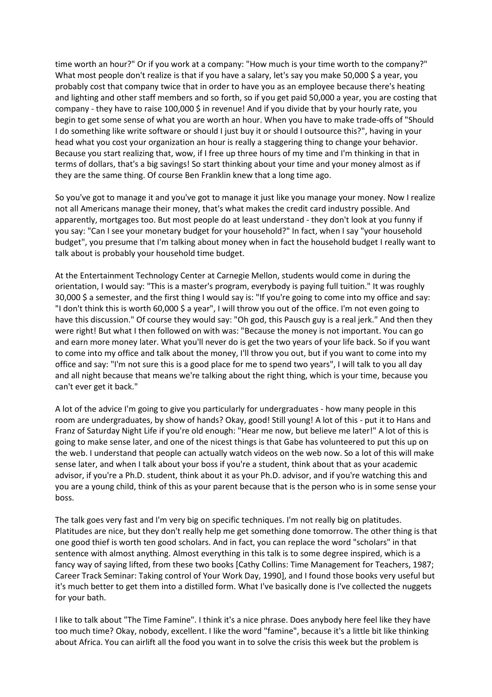time worth an hour?" Or if you work at a company: "How much is your time worth to the company?" What most people don't realize is that if you have a salary, let's say you make 50,000 \$ a year, you probably cost that company twice that in order to have you as an employee because there's heating and lighting and other staff members and so forth, so if you get paid 50,000 a year, you are costing that company - they have to raise 100,000 \$ in revenue! And if you divide that by your hourly rate, you begin to get some sense of what you are worth an hour. When you have to make trade-offs of "Should I do something like write software or should I just buy it or should I outsource this?", having in your head what you cost your organization an hour is really a staggering thing to change your behavior. Because you start realizing that, wow, if I free up three hours of my time and I'm thinking in that in terms of dollars, that's a big savings! So start thinking about your time and your money almost as if they are the same thing. Of course Ben Franklin knew that a long time ago.

So you've got to manage it and you've got to manage it just like you manage your money. Now I realize not all Americans manage their money, that's what makes the credit card industry possible. And apparently, mortgages too. But most people do at least understand - they don't look at you funny if you say: "Can I see your monetary budget for your household?" In fact, when I say "your household budget", you presume that I'm talking about money when in fact the household budget I really want to talk about is probably your household time budget.

At the Entertainment Technology Center at Carnegie Mellon, students would come in during the orientation, I would say: "This is a master's program, everybody is paying full tuition." It was roughly 30,000 \$ a semester, and the first thing I would say is: "If you're going to come into my office and say: "I don't think this is worth 60,000 \$ a year", I will throw you out of the office. I'm not even going to have this discussion." Of course they would say: "Oh god, this Pausch guy is a real jerk." And then they were right! But what I then followed on with was: "Because the money is not important. You can go and earn more money later. What you'll never do is get the two years of your life back. So if you want to come into my office and talk about the money, I'll throw you out, but if you want to come into my office and say: "I'm not sure this is a good place for me to spend two years", I will talk to you all day and all night because that means we're talking about the right thing, which is your time, because you can't ever get it back."

A lot of the advice I'm going to give you particularly for undergraduates - how many people in this room are undergraduates, by show of hands? Okay, good! Still young! A lot of this - put it to Hans and Franz of Saturday Night Life if you're old enough: "Hear me now, but believe me later!" A lot of this is going to make sense later, and one of the nicest things is that Gabe has volunteered to put this up on the web. I understand that people can actually watch videos on the web now. So a lot of this will make sense later, and when I talk about your boss if you're a student, think about that as your academic advisor, if you're a Ph.D. student, think about it as your Ph.D. advisor, and if you're watching this and you are a young child, think of this as your parent because that is the person who is in some sense your boss.

The talk goes very fast and I'm very big on specific techniques. I'm not really big on platitudes. Platitudes are nice, but they don't really help me get something done tomorrow. The other thing is that one good thief is worth ten good scholars. And in fact, you can replace the word "scholars" in that sentence with almost anything. Almost everything in this talk is to some degree inspired, which is a fancy way of saying lifted, from these two books [Cathy Collins: Time Management for Teachers, 1987; Career Track Seminar: Taking control of Your Work Day, 1990], and I found those books very useful but it's much better to get them into a distilled form. What I've basically done is I've collected the nuggets for your bath.

I like to talk about "The Time Famine". I think it's a nice phrase. Does anybody here feel like they have too much time? Okay, nobody, excellent. I like the word "famine", because it's a little bit like thinking about Africa. You can airlift all the food you want in to solve the crisis this week but the problem is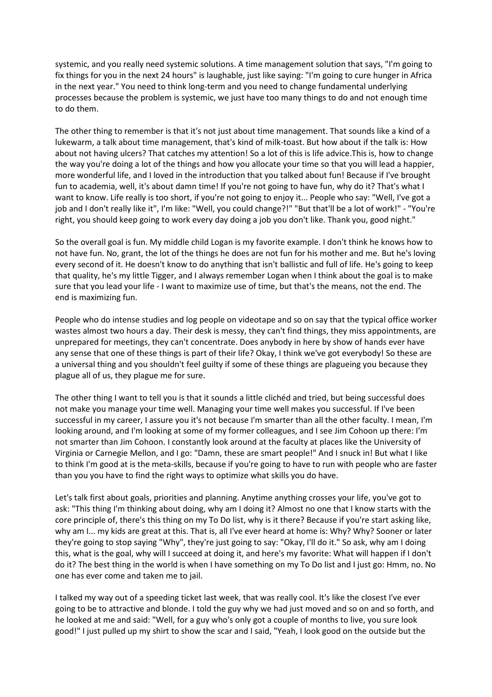systemic, and you really need systemic solutions. A time management solution that says, "I'm going to fix things for you in the next 24 hours" is laughable, just like saying: "I'm going to cure hunger in Africa in the next year." You need to think long-term and you need to change fundamental underlying processes because the problem is systemic, we just have too many things to do and not enough time to do them.

The other thing to remember is that it's not just about time management. That sounds like a kind of a lukewarm, a talk about time management, that's kind of milk-toast. But how about if the talk is: How about not having ulcers? That catches my attention! So a lot of this is life advice. This is, how to change the way you're doing a lot of the things and how you allocate your time so that you will lead a happier, more wonderful life, and I loved in the introduction that you talked about fun! Because if I've brought fun to academia, well, it's about damn time! If you're not going to have fun, why do it? That's what I want to know. Life really is too short, if you're not going to enjoy it... People who say: "Well, I've got a job and I don't really like it", I'm like: "Well, you could change?!" "But that'll be a lot of work!" - "You're right, you should keep going to work every day doing a job you don't like. Thank you, good night."

So the overall goal is fun. My middle child Logan is my favorite example. I don't think he knows how to not have fun. No, grant, the lot of the things he does are not fun for his mother and me. But he's loving every second of it. He doesn't know to do anything that isn't ballistic and full of life. He's going to keep that quality, he's my little Tigger, and I always remember Logan when I think about the goal is to make sure that you lead your life - I want to maximize use of time, but that's the means, not the end. The end is maximizing fun.

People who do intense studies and log people on videotape and so on say that the typical office worker wastes almost two hours a day. Their desk is messy, they can't find things, they miss appointments, are unprepared for meetings, they can't concentrate. Does anybody in here by show of hands ever have any sense that one of these things is part of their life? Okay, I think we've got everybody! So these are a universal thing and you shouldn't feel guilty if some of these things are plagueing you because they plague all of us, they plague me for sure.

The other thing I want to tell you is that it sounds a little clichéd and tried, but being successful does not make you manage your time well. Managing your time well makes you successful. If I've been successful in my career, I assure you it's not because I'm smarter than all the other faculty. I mean, I'm looking around, and I'm looking at some of my former colleagues, and I see Jim Cohoon up there: I'm not smarter than Jim Cohoon. I constantly look around at the faculty at places like the University of Virginia or Carnegie Mellon, and I go: "Damn, these are smart people!" And I snuck in! But what I like to think I'm good at is the meta-skills, because if you're going to have to run with people who are faster than you you have to find the right ways to optimize what skills you do have.

Let's talk first about goals, priorities and planning. Anytime anything crosses your life, you've got to ask: "This thing I'm thinking about doing, why am I doing it? Almost no one that I know starts with the core principle of, there's this thing on my To Do list, why is it there? Because if you're start asking like, why am I... my kids are great at this. That is, all I've ever heard at home is: Why? Why? Sooner or later they're going to stop saying "Why", they're just going to say: "Okay, I'll do it." So ask, why am I doing this, what is the goal, why will I succeed at doing it, and here's my favorite: What will happen if I don't do it? The best thing in the world is when I have something on my To Do list and I just go: Hmm, no. No one has ever come and taken me to jail.

I talked my way out of a speeding ticket last week, that was really cool. It's like the closest I've ever going to be to attractive and blonde. I told the guy why we had just moved and so on and so forth, and he looked at me and said: "Well, for a guy who's only got a couple of months to live, you sure look good!" I just pulled up my shirt to show the scar and I said, "Yeah, I look good on the outside but the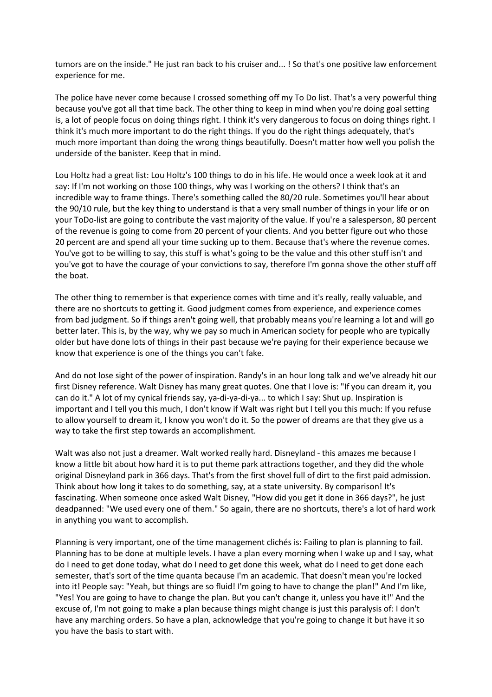tumors are on the inside." He just ran back to his cruiser and... ! So that's one positive law enforcement experience for me.

The police have never come because I crossed something off my To Do list. That's a very powerful thing because you've got all that time back. The other thing to keep in mind when you're doing goal setting is, a lot of people focus on doing things right. I think it's very dangerous to focus on doing things right. I think it's much more important to do the right things. If you do the right things adequately, that's much more important than doing the wrong things beautifully. Doesn't matter how well you polish the underside of the banister. Keep that in mind.

Lou Holtz had a great list: Lou Holtz's 100 things to do in his life. He would once a week look at it and say: If I'm not working on those 100 things, why was I working on the others? I think that's an incredible way to frame things. There's something called the 80/20 rule. Sometimes you'll hear about the 90/10 rule, but the key thing to understand is that a very small number of things in your life or on your ToDo-list are going to contribute the vast majority of the value. If you're a salesperson, 80 percent of the revenue is going to come from 20 percent of your clients. And you better figure out who those 20 percent are and spend all your time sucking up to them. Because that's where the revenue comes. You've got to be willing to say, this stuff is what's going to be the value and this other stuff isn't and you've got to have the courage of your convictions to say, therefore I'm gonna shove the other stuff off the boat.

The other thing to remember is that experience comes with time and it's really, really valuable, and there are no shortcuts to getting it. Good judgment comes from experience, and experience comes from bad judgment. So if things aren't going well, that probably means you're learning a lot and will go better later. This is, by the way, why we pay so much in American society for people who are typically older but have done lots of things in their past because we're paying for their experience because we know that experience is one of the things you can't fake.

And do not lose sight of the power of inspiration. Randy's in an hour long talk and we've already hit our first Disney reference. Walt Disney has many great quotes. One that I love is: "If you can dream it, you can do it." A lot of my cynical friends say, ya-di-ya-di-ya... to which I say: Shut up. Inspiration is important and I tell you this much, I don't know if Walt was right but I tell you this much: If you refuse to allow yourself to dream it, I know you won't do it. So the power of dreams are that they give us a way to take the first step towards an accomplishment.

Walt was also not just a dreamer. Walt worked really hard. Disneyland - this amazes me because I know a little bit about how hard it is to put theme park attractions together, and they did the whole original Disneyland park in 366 days. That's from the first shovel full of dirt to the first paid admission. Think about how long it takes to do something, say, at a state university. By comparison! It's fascinating. When someone once asked Walt Disney, "How did you get it done in 366 days?", he just deadpanned: "We used every one of them." So again, there are no shortcuts, there's a lot of hard work in anything you want to accomplish.

Planning is very important, one of the time management clichés is: Failing to plan is planning to fail. Planning has to be done at multiple levels. I have a plan every morning when I wake up and I say, what do I need to get done today, what do I need to get done this week, what do I need to get done each semester, that's sort of the time quanta because I'm an academic. That doesn't mean you're locked into it! People say: "Yeah, but things are so fluid! I'm going to have to change the plan!" And I'm like, "Yes! You are going to have to change the plan. But you can't change it, unless you have it!" And the excuse of, I'm not going to make a plan because things might change is just this paralysis of: I don't have any marching orders. So have a plan, acknowledge that you're going to change it but have it so you have the basis to start with.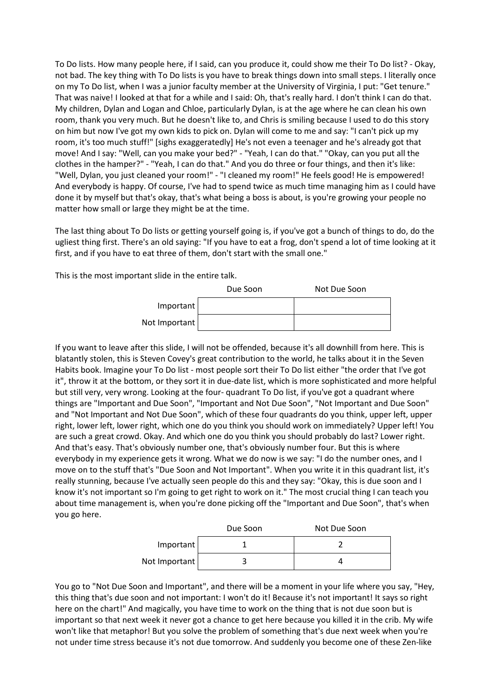To Do lists. How many people here, if I said, can you produce it, could show me their To Do list? - Okay, not bad. The key thing with To Do lists is you have to break things down into small steps. I literally once on my To Do list, when I was a junior faculty member at the University of Virginia, I put: "Get tenure." That was naive! I looked at that for a while and I said: Oh, that's really hard. I don't think I can do that. My children, Dylan and Logan and Chloe, particularly Dylan, is at the age where he can clean his own room, thank you very much. But he doesn't like to, and Chris is smiling because I used to do this story on him but now I've got my own kids to pick on. Dylan will come to me and say: "I can't pick up my room, it's too much stuff!" [sighs exaggeratedly] He's not even a teenager and he's already got that move! And I say: "Well, can you make your bed?" - "Yeah, I can do that." "Okay, can you put all the clothes in the hamper?" - "Yeah, I can do that." And you do three or four things, and then it's like: "Well, Dylan, you just cleaned your room!" - "I cleaned my room!" He feels good! He is empowered! And everybody is happy. Of course, I've had to spend twice as much time managing him as I could have done it by myself but that's okay, that's what being a boss is about, is you're growing your people no matter how small or large they might be at the time.

The last thing about To Do lists or getting yourself going is, if you've got a bunch of things to do, do the ugliest thing first. There's an old saying: "If you have to eat a frog, don't spend a lot of time looking at it first, and if you have to eat three of them, don't start with the small one."

This is the most important slide in the entire talk.

|               | Due Soon | Not Due Soon |
|---------------|----------|--------------|
| Important     |          |              |
| Not Important |          |              |

If you want to leave after this slide, I will not be offended, because it's all downhill from here. This is blatantly stolen, this is Steven Covey's great contribution to the world, he talks about it in the Seven Habits book. Imagine your To Do list - most people sort their To Do list either "the order that I've got it", throw it at the bottom, or they sort it in due-date list, which is more sophisticated and more helpful but still very, very wrong. Looking at the four- quadrant To Do list, if you've got a quadrant where things are "Important and Due Soon", "Important and Not Due Soon", "Not Important and Due Soon" and "Not Important and Not Due Soon", which of these four quadrants do you think, upper left, upper right, lower left, lower right, which one do you think you should work on immediately? Upper left! You are such a great crowd. Okay. And which one do you think you should probably do last? Lower right. And that's easy. That's obviously number one, that's obviously number four. But this is where everybody in my experience gets it wrong. What we do now is we say: "I do the number ones, and I move on to the stuff that's "Due Soon and Not Important". When you write it in this quadrant list, it's really stunning, because I've actually seen people do this and they say: "Okay, this is due soon and I know it's not important so I'm going to get right to work on it." The most crucial thing I can teach you about time management is, when you're done picking off the "Important and Due Soon", that's when you go here.

|               | Due Soon | Not Due Soon |
|---------------|----------|--------------|
| Important     |          |              |
| Not Important |          |              |

You go to "Not Due Soon and Important", and there will be a moment in your life where you say, "Hey, this thing that's due soon and not important: I won't do it! Because it's not important! It says so right here on the chart!" And magically, you have time to work on the thing that is not due soon but is important so that next week it never got a chance to get here because you killed it in the crib. My wife won't like that metaphor! But you solve the problem of something that's due next week when you're not under time stress because it's not due tomorrow. And suddenly you become one of these Zen-like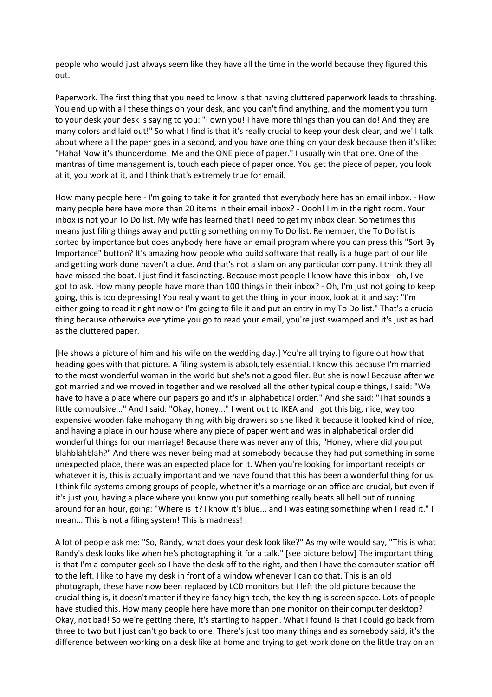people who would just always seem like they have all the time in the world because they figured this out.

Paperwork. The first thing that you need to know is that having cluttered paperwork leads to thrashing. You end up with all these things on your desk, and you can't find anything, and the moment you turn to your desk your desk is saying to you: "I own you! I have more things than you can do! And they are many colors and laid out!" So what I find is that it's really crucial to keep your desk clear, and we'll talk about where all the paper goes in a second, and you have one thing on your desk because then it's like: "Haha! Now it's thunderdome! Me and the ONE piece of paper." I usually win that one. One of the mantras of time management is, touch each piece of paper once. You get the piece of paper, you look at it, you work at it, and I think that's extremely true for email.

How many people here - I'm going to take it for granted that everybody here has an email inbox. - How many people here have more than 20 items in their email inbox? - Oooh! I'm in the right room. Your inbox is not your To Do list. My wife has learned that I need to get my inbox clear. Sometimes this means just filing things away and putting something on my To Do list. Remember, the To Do list is sorted by importance but does anybody here have an email program where you can press this "Sort By Importance" button? It's amazing how people who build software that really is a huge part of our life and getting work done haven't a clue. And that's not a slam on any particular company. I think they all have missed the boat. I just find it fascinating. Because most people I know have this inbox - oh, I've got to ask. How many people have more than 100 things in their inbox? - Oh, I'm just not going to keep going, this is too depressing! You really want to get the thing in your inbox, look at it and say: "I'm either going to read it right now or I'm going to file it and put an entry in my To Do list." That's a crucial thing because otherwise everytime you go to read your email, you're just swamped and it's just as bad as the cluttered paper.

[He shows a picture of him and his wife on the wedding day.] You're all trying to figure out how that heading goes with that picture. A filing system is absolutely essential. I know this because I'm married to the most wonderful woman in the world but she's not a good filer. But she is now! Because after we got married and we moved in together and we resolved all the other typical couple things, I said: "We have to have a place where our papers go and it's in alphabetical order." And she said: "That sounds a little compulsive..." And I said: "Okay, honey..." I went out to IKEA and I got this big, nice, way too expensive wooden fake mahogany thing with big drawers so she liked it because it looked kind of nice, and having a place in our house where any piece of paper went and was in alphabetical order did wonderful things for our marriage! Because there was never any of this, "Honey, where did you put blahblahblah?" And there was never being mad at somebody because they had put something in some unexpected place, there was an expected place for it. When you're looking for important receipts or whatever it is, this is actually important and we have found that this has been a wonderful thing for us. I think file systems among groups of people, whether it's a marriage or an office are crucial, but even if it's just you, having a place where you know you put something really beats all hell out of running around for an hour, going: "Where is it? I know it's blue... and I was eating something when I read it." I mean... This is not a filing system! This is madness!

A lot of people ask me: "So, Randy, what does your desk look like?" As my wife would say, "This is what Randy's desk looks like when he's photographing it for a talk." [see picture below] The important thing is that I'm a computer geek so I have the desk off to the right, and then I have the computer station off to the left. I like to have my desk in front of a window whenever I can do that. This is an old photograph, these have now been replaced by LCD monitors but I left the old picture because the crucial thing is, it doesn't matter if they're fancy high-tech, the key thing is screen space. Lots of people have studied this. How many people here have more than one monitor on their computer desktop? Okay, not bad! So we're getting there, it's starting to happen. What I found is that I could go back from three to two but I just can't go back to one. There's just too many things and as somebody said, it's the difference between working on a desk like at home and trying to get work done on the little tray on an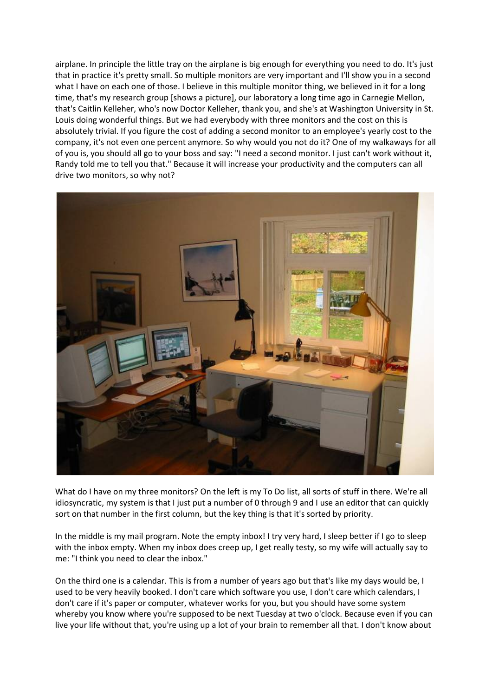airplane. In principle the little tray on the airplane is big enough for everything you need to do. It's just that in practice it's pretty small. So multiple monitors are very important and I'll show you in a second what I have on each one of those. I believe in this multiple monitor thing, we believed in it for a long time, that's my research group [shows a picture], our laboratory a long time ago in Carnegie Mellon, that's Caitlin Kelleher, who's now Doctor Kelleher, thank you, and she's at Washington University in St. Louis doing wonderful things. But we had everybody with three monitors and the cost on this is absolutely trivial. If you figure the cost of adding a second monitor to an employee's yearly cost to the company, it's not even one percent anymore. So why would you not do it? One of my walkaways for all of you is, you should all go to your boss and say: "I need a second monitor. I just can't work without it, Randy told me to tell you that." Because it will increase your productivity and the computers can all drive two monitors, so why not?



What do I have on my three monitors? On the left is my To Do list, all sorts of stuff in there. We're all idiosyncratic, my system is that I just put a number of 0 through 9 and I use an editor that can quickly sort on that number in the first column, but the key thing is that it's sorted by priority.

In the middle is my mail program. Note the empty inbox! I try very hard, I sleep better if I go to sleep with the inbox empty. When my inbox does creep up, I get really testy, so my wife will actually say to me: "I think you need to clear the inbox."

On the third one is a calendar. This is from a number of years ago but that's like my days would be, I used to be very heavily booked. I don't care which software you use, I don't care which calendars, I don't care if it's paper or computer, whatever works for you, but you should have some system whereby you know where you're supposed to be next Tuesday at two o'clock. Because even if you can live your life without that, you're using up a lot of your brain to remember all that. I don't know about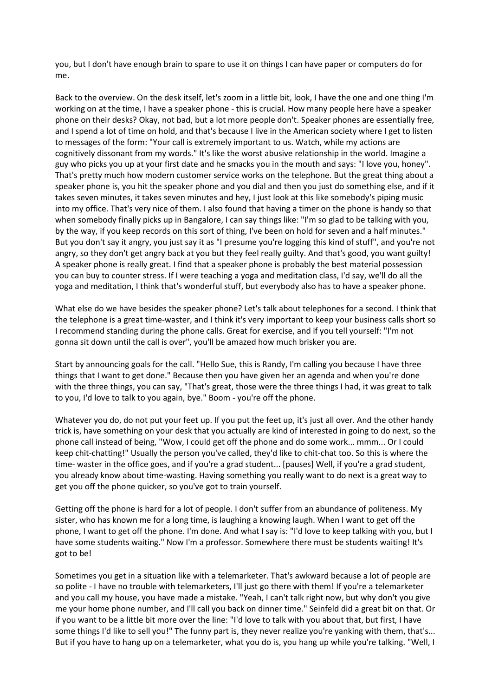you, but I don't have enough brain to spare to use it on things I can have paper or computers do for me.

Back to the overview. On the desk itself, let's zoom in a little bit, look, I have the one and one thing I'm working on at the time, I have a speaker phone - this is crucial. How many people here have a speaker phone on their desks? Okay, not bad, but a lot more people don't. Speaker phones are essentially free, and I spend a lot of time on hold, and that's because I live in the American society where I get to listen to messages of the form: "Your call is extremely important to us. Watch, while my actions are cognitively dissonant from my words." It's like the worst abusive relationship in the world. Imagine a guy who picks you up at your first date and he smacks you in the mouth and says: "I love you, honey". That's pretty much how modern customer service works on the telephone. But the great thing about a speaker phone is, you hit the speaker phone and you dial and then you just do something else, and if it takes seven minutes, it takes seven minutes and hey, I just look at this like somebody's piping music into my office. That's very nice of them. I also found that having a timer on the phone is handy so that when somebody finally picks up in Bangalore, I can say things like: "I'm so glad to be talking with you, by the way, if you keep records on this sort of thing, I've been on hold for seven and a half minutes." But you don't say it angry, you just say it as "I presume you're logging this kind of stuff", and you're not angry, so they don't get angry back at you but they feel really guilty. And that's good, you want guilty! A speaker phone is really great. I find that a speaker phone is probably the best material possession you can buy to counter stress. If I were teaching a yoga and meditation class, I'd say, we'll do all the yoga and meditation, I think that's wonderful stuff, but everybody also has to have a speaker phone.

What else do we have besides the speaker phone? Let's talk about telephones for a second. I think that the telephone is a great time-waster, and I think it's very important to keep your business calls short so I recommend standing during the phone calls. Great for exercise, and if you tell yourself: "I'm not gonna sit down until the call is over", you'll be amazed how much brisker you are.

Start by announcing goals for the call. "Hello Sue, this is Randy, I'm calling you because I have three things that I want to get done." Because then you have given her an agenda and when you're done with the three things, you can say, "That's great, those were the three things I had, it was great to talk to you, I'd love to talk to you again, bye." Boom - you're off the phone.

Whatever you do, do not put your feet up. If you put the feet up, it's just all over. And the other handy trick is, have something on your desk that you actually are kind of interested in going to do next, so the phone call instead of being, "Wow, I could get off the phone and do some work... mmm... Or I could keep chit-chatting!" Usually the person you've called, they'd like to chit-chat too. So this is where the time- waster in the office goes, and if you're a grad student... [pauses] Well, if you're a grad student, you already know about time-wasting. Having something you really want to do next is a great way to get you off the phone quicker, so you've got to train yourself.

Getting off the phone is hard for a lot of people. I don't suffer from an abundance of politeness. My sister, who has known me for a long time, is laughing a knowing laugh. When I want to get off the phone, I want to get off the phone. I'm done. And what I say is: "I'd love to keep talking with you, but I have some students waiting." Now I'm a professor. Somewhere there must be students waiting! It's got to be!

Sometimes you get in a situation like with a telemarketer. That's awkward because a lot of people are so polite - I have no trouble with telemarketers, I'll just go there with them! If you're a telemarketer and you call my house, you have made a mistake. "Yeah, I can't talk right now, but why don't you give me your home phone number, and I'll call you back on dinner time." Seinfeld did a great bit on that. Or if you want to be a little bit more over the line: "I'd love to talk with you about that, but first, I have some things I'd like to sell you!" The funny part is, they never realize you're yanking with them, that's... But if you have to hang up on a telemarketer, what you do is, you hang up while you're talking. "Well, I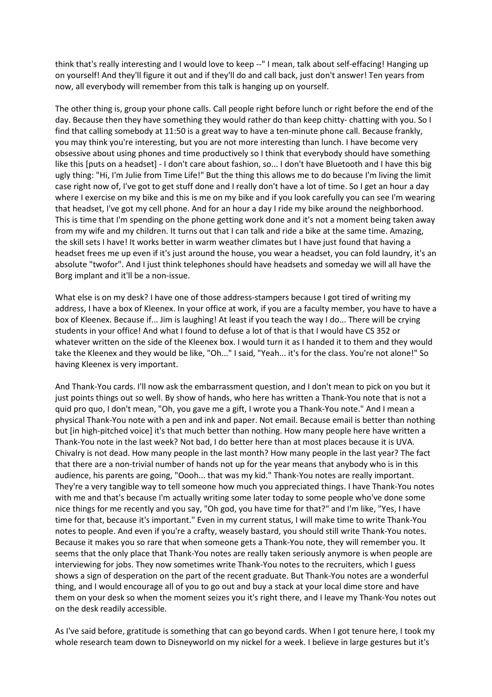think that's really interesting and I would love to keep --" I mean, talk about self-effacing! Hanging up on yourself! And they'll figure it out and if they'll do and call back, just don't answer! Ten years from now, all everybody will remember from this talk is hanging up on yourself.

The other thing is, group your phone calls. Call people right before lunch or right before the end of the day. Because then they have something they would rather do than keep chitty- chatting with you. So I find that calling somebody at 11:50 is a great way to have a ten-minute phone call. Because frankly, you may think you're interesting, but you are not more interesting than lunch. I have become very obsessive about using phones and time productively so I think that everybody should have something like this [puts on a headset] - I don't care about fashion, so... I don't have Bluetooth and I have this big ugly thing: "Hi, I'm Julie from Time Life!" But the thing this allows me to do because I'm living the limit case right now of, I've got to get stuff done and I really don't have a lot of time. So I get an hour a day where I exercise on my bike and this is me on my bike and if you look carefully you can see I'm wearing that headset, I've got my cell phone. And for an hour a day I ride my bike around the neighborhood. This is time that I'm spending on the phone getting work done and it's not a moment being taken away from my wife and my children. It turns out that I can talk and ride a bike at the same time. Amazing, the skill sets I have! It works better in warm weather climates but I have just found that having a headset frees me up even if it's just around the house, you wear a headset, you can fold laundry, it's an absolute "twofor". And I just think telephones should have headsets and someday we will all have the Borg implant and it'll be a non-issue.

What else is on my desk? I have one of those address-stampers because I got tired of writing my address, I have a box of Kleenex. In your office at work, if you are a faculty member, you have to have a box of Kleenex. Because if... Jim is laughing! At least if you teach the way I do... There will be crying students in your office! And what I found to defuse a lot of that is that I would have CS 352 or whatever written on the side of the Kleenex box. I would turn it as I handed it to them and they would take the Kleenex and they would be like, "Oh..." I said, "Yeah... it's for the class. You're not alone!" So having Kleenex is very important.

And Thank-You cards. I'll now ask the embarrassment question, and I don't mean to pick on you but it just points things out so well. By show of hands, who here has written a Thank-You note that is not a quid pro quo, I don't mean, "Oh, you gave me a gift, I wrote you a Thank-You note." And I mean a physical Thank-You note with a pen and ink and paper. Not email. Because email is better than nothing but [in high-pitched voice] it's that much better than nothing. How many people here have written a Thank-You note in the last week? Not bad, I do better here than at most places because it is UVA. Chivalry is not dead. How many people in the last month? How many people in the last year? The fact that there are a non-trivial number of hands not up for the year means that anybody who is in this audience, his parents are going, "Oooh... that was my kid." Thank-You notes are really important. They're a very tangible way to tell someone how much you appreciated things. I have Thank-You notes with me and that's because I'm actually writing some later today to some people who've done some nice things for me recently and you say, "Oh god, you have time for that?" and I'm like, "Yes, I have time for that, because it's important." Even in my current status, I will make time to write Thank-You notes to people. And even if you're a crafty, weasely bastard, you should still write Thank-You notes. Because it makes you so rare that when someone gets a Thank-You note, they will remember you. It seems that the only place that Thank-You notes are really taken seriously anymore is when people are interviewing for jobs. They now sometimes write Thank-You notes to the recruiters, which I guess shows a sign of desperation on the part of the recent graduate. But Thank-You notes are a wonderful thing, and I would encourage all of you to go out and buy a stack at your local dime store and have them on your desk so when the moment seizes you it's right there, and I leave my Thank-You notes out on the desk readily accessible.

As I've said before, gratitude is something that can go beyond cards. When I got tenure here, I took my whole research team down to Disneyworld on my nickel for a week. I believe in large gestures but it's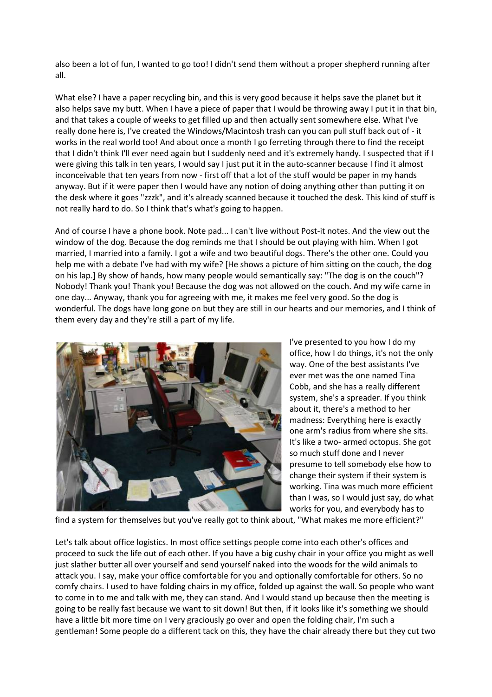also been a lot of fun, I wanted to go too! I didn't send them without a proper shepherd running after all.

What else? I have a paper recycling bin, and this is very good because it helps save the planet but it also helps save my butt. When I have a piece of paper that I would be throwing away I put it in that bin, and that takes a couple of weeks to get filled up and then actually sent somewhere else. What I've really done here is, I've created the Windows/Macintosh trash can you can pull stuff back out of - it works in the real world too! And about once a month I go ferreting through there to find the receipt that I didn't think I'll ever need again but I suddenly need and it's extremely handy. I suspected that if I were giving this talk in ten years, I would say I just put it in the auto-scanner because I find it almost inconceivable that ten years from now - first off that a lot of the stuff would be paper in my hands anyway. But if it were paper then I would have any notion of doing anything other than putting it on the desk where it goes "zzzk", and it's already scanned because it touched the desk. This kind of stuff is not really hard to do. So I think that's what's going to happen.

And of course I have a phone book. Note pad... I can't live without Post-it notes. And the view out the window of the dog. Because the dog reminds me that I should be out playing with him. When I got married, I married into a family. I got a wife and two beautiful dogs. There's the other one. Could you help me with a debate I've had with my wife? [He shows a picture of him sitting on the couch, the dog on his lap.] By show of hands, how many people would semantically say: "The dog is on the couch"? Nobody! Thank you! Thank you! Because the dog was not allowed on the couch. And my wife came in one day... Anyway, thank you for agreeing with me, it makes me feel very good. So the dog is wonderful. The dogs have long gone on but they are still in our hearts and our memories, and I think of them every day and they're still a part of my life.



I've presented to you how I do my office, how I do things, it's not the only way. One of the best assistants I've ever met was the one named Tina Cobb, and she has a really different system, she's a spreader. If you think about it, there's a method to her madness: Everything here is exactly one arm's radius from where she sits. It's like a two- armed octopus. She got so much stuff done and I never presume to tell somebody else how to change their system if their system is working. Tina was much more efficient than I was, so I would just say, do what works for you, and everybody has to

find a system for themselves but you've really got to think about, "What makes me more efficient?"

Let's talk about office logistics. In most office settings people come into each other's offices and proceed to suck the life out of each other. If you have a big cushy chair in your office you might as well just slather butter all over yourself and send yourself naked into the woods for the wild animals to attack you. I say, make your office comfortable for you and optionally comfortable for others. So no comfy chairs. I used to have folding chairs in my office, folded up against the wall. So people who want to come in to me and talk with me, they can stand. And I would stand up because then the meeting is going to be really fast because we want to sit down! But then, if it looks like it's something we should have a little bit more time on I very graciously go over and open the folding chair, I'm such a gentleman! Some people do a different tack on this, they have the chair already there but they cut two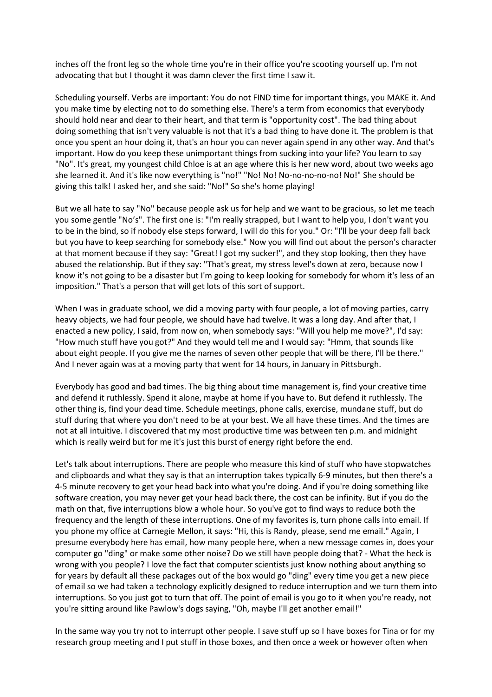inches off the front leg so the whole time you're in their office you're scooting yourself up. I'm not advocating that but I thought it was damn clever the first time I saw it.

Scheduling yourself. Verbs are important: You do not FIND time for important things, you MAKE it. And you make time by electing not to do something else. There's a term from economics that everybody should hold near and dear to their heart, and that term is "opportunity cost". The bad thing about doing something that isn't very valuable is not that it's a bad thing to have done it. The problem is that once you spent an hour doing it, that's an hour you can never again spend in any other way. And that's important. How do you keep these unimportant things from sucking into your life? You learn to say "No". It's great, my youngest child Chloe is at an age where this is her new word, about two weeks ago she learned it. And it's like now everything is "no!" "No! No! No-no-no-no-no! No!" She should be giving this talk! I asked her, and she said: "No!" So she's home playing!

But we all hate to say "No" because people ask us for help and we want to be gracious, so let me teach you some gentle "No's". The first one is: "I'm really strapped, but I want to help you, I don't want you to be in the bind, so if nobody else steps forward, I will do this for you." Or: "I'll be your deep fall back but you have to keep searching for somebody else." Now you will find out about the person's character at that moment because if they say: "Great! I got my sucker!", and they stop looking, then they have abused the relationship. But if they say: "That's great, my stress level's down at zero, because now I know it's not going to be a disaster but I'm going to keep looking for somebody for whom it's less of an imposition." That's a person that will get lots of this sort of support.

When I was in graduate school, we did a moving party with four people, a lot of moving parties, carry heavy objects, we had four people, we should have had twelve. It was a long day. And after that, I enacted a new policy, I said, from now on, when somebody says: "Will you help me move?", I'd say: "How much stuff have you got?" And they would tell me and I would say: "Hmm, that sounds like about eight people. If you give me the names of seven other people that will be there, I'll be there." And I never again was at a moving party that went for 14 hours, in January in Pittsburgh.

Everybody has good and bad times. The big thing about time management is, find your creative time and defend it ruthlessly. Spend it alone, maybe at home if you have to. But defend it ruthlessly. The other thing is, find your dead time. Schedule meetings, phone calls, exercise, mundane stuff, but do stuff during that where you don't need to be at your best. We all have these times. And the times are not at all intuitive. I discovered that my most productive time was between ten p.m. and midnight which is really weird but for me it's just this burst of energy right before the end.

Let's talk about interruptions. There are people who measure this kind of stuff who have stopwatches and clipboards and what they say is that an interruption takes typically 6-9 minutes, but then there's a 4-5 minute recovery to get your head back into what you're doing. And if you're doing something like software creation, you may never get your head back there, the cost can be infinity. But if you do the math on that, five interruptions blow a whole hour. So you've got to find ways to reduce both the frequency and the length of these interruptions. One of my favorites is, turn phone calls into email. If you phone my office at Carnegie Mellon, it says: "Hi, this is Randy, please, send me email." Again, I presume everybody here has email, how many people here, when a new message comes in, does your computer go "ding" or make some other noise? Do we still have people doing that? - What the heck is wrong with you people? I love the fact that computer scientists just know nothing about anything so for years by default all these packages out of the box would go "ding" every time you get a new piece of email so we had taken a technology explicitly designed to reduce interruption and we turn them into interruptions. So you just got to turn that off. The point of email is you go to it when you're ready, not you're sitting around like Pawlow's dogs saying, "Oh, maybe I'll get another email!"

In the same way you try not to interrupt other people. I save stuff up so I have boxes for Tina or for my research group meeting and I put stuff in those boxes, and then once a week or however often when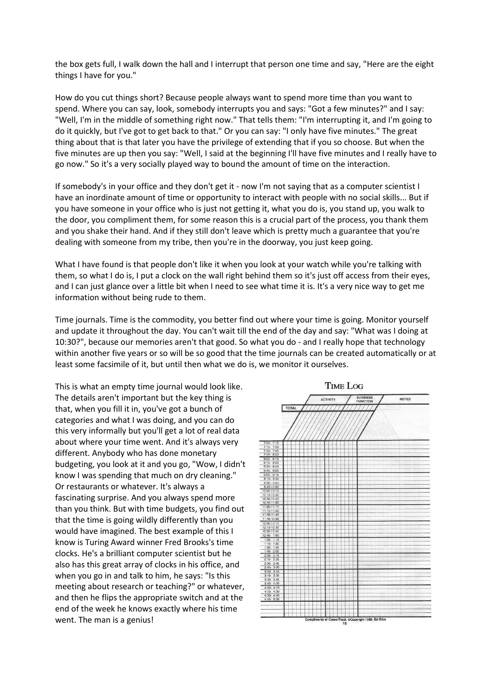the box gets full, I walk down the hall and I interrupt that person one time and say, "Here are the eight things I have for you."

How do you cut things short? Because people always want to spend more time than you want to spend. Where you can say, look, somebody interrupts you and says: "Got a few minutes?" and I say: "Well, I'm in the middle of something right now." That tells them: "I'm interrupting it, and I'm going to do it quickly, but I've got to get back to that." Or you can say: "I only have five minutes." The great thing about that is that later you have the privilege of extending that if you so choose. But when the five minutes are up then you say: "Well, I said at the beginning I'll have five minutes and I really have to go now." So it's a very socially played way to bound the amount of time on the interaction.

If somebody's in your office and they don't get it - now I'm not saying that as a computer scientist I have an inordinate amount of time or opportunity to interact with people with no social skills... But if you have someone in your office who is just not getting it, what you do is, you stand up, you walk to the door, you compliment them, for some reason this is a crucial part of the process, you thank them and you shake their hand. And if they still don't leave which is pretty much a guarantee that you're dealing with someone from my tribe, then you're in the doorway, you just keep going.

What I have found is that people don't like it when you look at your watch while you're talking with them, so what I do is, I put a clock on the wall right behind them so it's just off access from their eyes, and I can just glance over a little bit when I need to see what time it is. It's a very nice way to get me information without being rude to them.

Time journals. Time is the commodity, you better find out where your time is going. Monitor yourself and update it throughout the day. You can't wait till the end of the day and say: "What was I doing at 10:30?", because our memories aren't that good. So what you do - and I really hope that technology within another five years or so will be so good that the time journals can be created automatically or at least some facsimile of it, but until then what we do is, we monitor it ourselves.

This is what an empty time journal would look like. The details aren't important but the key thing is that, when you fill it in, you've got a bunch of categories and what I was doing, and you can do this very informally but you'll get a lot of real data about where your time went. And it's always very different. Anybody who has done monetary budgeting, you look at it and you go, "Wow, I didn't know I was spending that much on dry cleaning." Or restaurants or whatever. It's always a fascinating surprise. And you always spend more than you think. But with time budgets, you find out that the time is going wildly differently than you would have imagined. The best example of this I know is Turing Award winner Fred Brooks's time clocks. He's a brilliant computer scientist but he also has this great array of clocks in his office, and when you go in and talk to him, he says: "Is this meeting about research or teaching?" or whatever, and then he flips the appropriate switch and at the end of the week he knows exactly where his time went. The man is a genius!

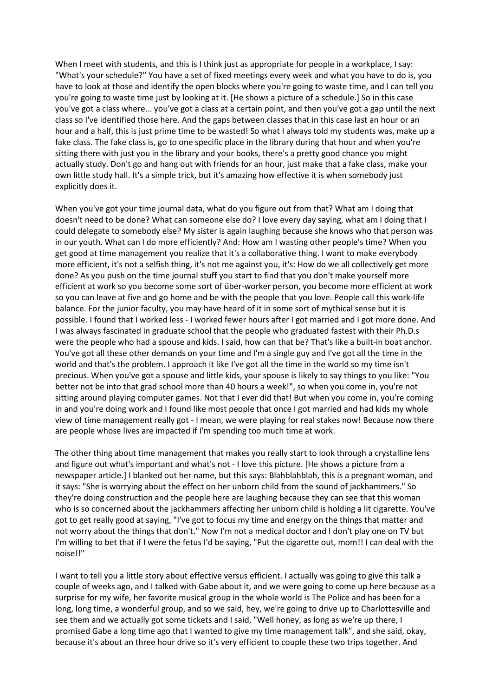When I meet with students, and this is I think just as appropriate for people in a workplace, I say: "What's your schedule?" You have a set of fixed meetings every week and what you have to do is, you have to look at those and identify the open blocks where you're going to waste time, and I can tell you you're going to waste time just by looking at it. [He shows a picture of a schedule.] So in this case you've got a class where... you've got a class at a certain point, and then you've got a gap until the next class so I've identified those here. And the gaps between classes that in this case last an hour or an hour and a half, this is just prime time to be wasted! So what I always told my students was, make up a fake class. The fake class is, go to one specific place in the library during that hour and when you're sitting there with just you in the library and your books, there's a pretty good chance you might actually study. Don't go and hang out with friends for an hour, just make that a fake class, make your own little study hall. It's a simple trick, but it's amazing how effective it is when somebody just explicitly does it.

When you've got your time journal data, what do you figure out from that? What am I doing that doesn't need to be done? What can someone else do? I love every day saying, what am I doing that I could delegate to somebody else? My sister is again laughing because she knows who that person was in our youth. What can I do more efficiently? And: How am I wasting other people's time? When you get good at time management you realize that it's a collaborative thing. I want to make everybody more efficient, it's not a selfish thing, it's not me against you, it's: How do we all collectively get more done? As you push on the time journal stuff you start to find that you don't make yourself more efficient at work so you become some sort of über-worker person, you become more efficient at work so you can leave at five and go home and be with the people that you love. People call this work-life balance. For the junior faculty, you may have heard of it in some sort of mythical sense but it is possible. I found that I worked less - I worked fewer hours after I got married and I got more done. And I was always fascinated in graduate school that the people who graduated fastest with their Ph.D.s were the people who had a spouse and kids. I said, how can that be? That's like a built-in boat anchor. You've got all these other demands on your time and I'm a single guy and I've got all the time in the world and that's the problem. I approach it like I've got all the time in the world so my time isn't precious. When you've got a spouse and little kids, your spouse is likely to say things to you like: "You better not be into that grad school more than 40 hours a week!", so when you come in, you're not sitting around playing computer games. Not that I ever did that! But when you come in, you're coming in and you're doing work and I found like most people that once I got married and had kids my whole view of time management really got - I mean, we were playing for real stakes now! Because now there are people whose lives are impacted if I'm spending too much time at work.

The other thing about time management that makes you really start to look through a crystalline lens and figure out what's important and what's not - I love this picture. [He shows a picture from a newspaper article.] I blanked out her name, but this says: Blahblahblah, this is a pregnant woman, and it says: "She is worrying about the effect on her unborn child from the sound of jackhammers." So they're doing construction and the people here are laughing because they can see that this woman who is so concerned about the jackhammers affecting her unborn child is holding a lit cigarette. You've got to get really good at saying, "I've got to focus my time and energy on the things that matter and not worry about the things that don't." Now I'm not a medical doctor and I don't play one on TV but I'm willing to bet that if I were the fetus I'd be saying, "Put the cigarette out, mom!! I can deal with the noise!!"

I want to tell you a little story about effective versus efficient. I actually was going to give this talk a couple of weeks ago, and I talked with Gabe about it, and we were going to come up here because as a surprise for my wife, her favorite musical group in the whole world is The Police and has been for a long, long time, a wonderful group, and so we said, hey, we're going to drive up to Charlottesville and see them and we actually got some tickets and I said, "Well honey, as long as we're up there, I promised Gabe a long time ago that I wanted to give my time management talk", and she said, okay, because it's about an three hour drive so it's very efficient to couple these two trips together. And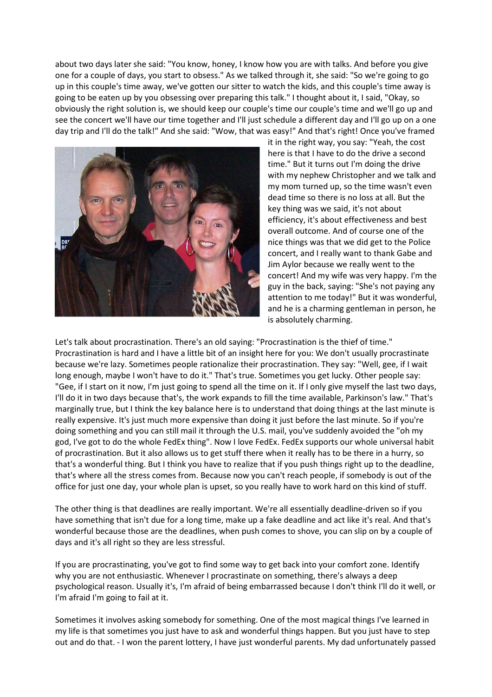about two days later she said: "You know, honey, I know how you are with talks. And before you give one for a couple of days, you start to obsess." As we talked through it, she said: "So we're going to go up in this couple's time away, we've gotten our sitter to watch the kids, and this couple's time away is going to be eaten up by you obsessing over preparing this talk." I thought about it, I said, "Okay, so obviously the right solution is, we should keep our couple's time our couple's time and we'll go up and see the concert we'll have our time together and I'll just schedule a different day and I'll go up on a one day trip and I'll do the talk!" And she said: "Wow, that was easy!" And that's right! Once you've framed



it in the right way, you say: "Yeah, the cost here is that I have to do the drive a second time." But it turns out I'm doing the drive with my nephew Christopher and we talk and my mom turned up, so the time wasn't even dead time so there is no loss at all. But the key thing was we said, it's not about efficiency, it's about effectiveness and best overall outcome. And of course one of the nice things was that we did get to the Police concert, and I really want to thank Gabe and Jim Aylor because we really went to the concert! And my wife was very happy. I'm the guy in the back, saying: "She's not paying any attention to me today!" But it was wonderful, and he is a charming gentleman in person, he is absolutely charming.

Let's talk about procrastination. There's an old saying: "Procrastination is the thief of time." Procrastination is hard and I have a little bit of an insight here for you: We don't usually procrastinate because we're lazy. Sometimes people rationalize their procrastination. They say: "Well, gee, if I wait long enough, maybe I won't have to do it." That's true. Sometimes you get lucky. Other people say: "Gee, if I start on it now, I'm just going to spend all the time on it. If I only give myself the last two days, I'll do it in two days because that's, the work expands to fill the time available, Parkinson's law." That's marginally true, but I think the key balance here is to understand that doing things at the last minute is really expensive. It's just much more expensive than doing it just before the last minute. So if you're doing something and you can still mail it through the U.S. mail, you've suddenly avoided the "oh my god, I've got to do the whole FedEx thing". Now I love FedEx. FedEx supports our whole universal habit of procrastination. But it also allows us to get stuff there when it really has to be there in a hurry, so that's a wonderful thing. But I think you have to realize that if you push things right up to the deadline, that's where all the stress comes from. Because now you can't reach people, if somebody is out of the office for just one day, your whole plan is upset, so you really have to work hard on this kind of stuff.

The other thing is that deadlines are really important. We're all essentially deadline-driven so if you have something that isn't due for a long time, make up a fake deadline and act like it's real. And that's wonderful because those are the deadlines, when push comes to shove, you can slip on by a couple of days and it's all right so they are less stressful.

If you are procrastinating, you've got to find some way to get back into your comfort zone. Identify why you are not enthusiastic. Whenever I procrastinate on something, there's always a deep psychological reason. Usually it's, I'm afraid of being embarrassed because I don't think I'll do it well, or I'm afraid I'm going to fail at it.

Sometimes it involves asking somebody for something. One of the most magical things I've learned in my life is that sometimes you just have to ask and wonderful things happen. But you just have to step out and do that. - I won the parent lottery, I have just wonderful parents. My dad unfortunately passed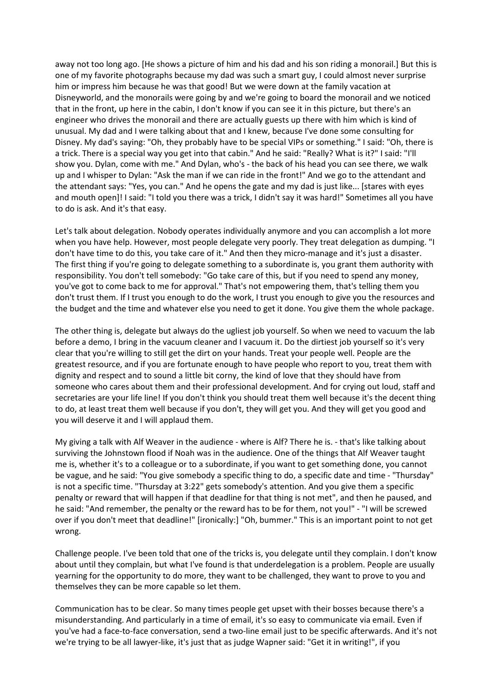away not too long ago. [He shows a picture of him and his dad and his son riding a monorail.] But this is one of my favorite photographs because my dad was such a smart guy, I could almost never surprise him or impress him because he was that good! But we were down at the family vacation at Disneyworld, and the monorails were going by and we're going to board the monorail and we noticed that in the front, up here in the cabin, I don't know if you can see it in this picture, but there's an engineer who drives the monorail and there are actually guests up there with him which is kind of unusual. My dad and I were talking about that and I knew, because I've done some consulting for Disney. My dad's saying: "Oh, they probably have to be special VIPs or something." I said: "Oh, there is a trick. There is a special way you get into that cabin." And he said: "Really? What is it?" I said: "I'll show you. Dylan, come with me." And Dylan, who's - the back of his head you can see there, we walk up and I whisper to Dylan: "Ask the man if we can ride in the front!" And we go to the attendant and the attendant says: "Yes, you can." And he opens the gate and my dad is just like... [stares with eyes and mouth open]! I said: "I told you there was a trick, I didn't say it was hard!" Sometimes all you have to do is ask. And it's that easy.

Let's talk about delegation. Nobody operates individually anymore and you can accomplish a lot more when you have help. However, most people delegate very poorly. They treat delegation as dumping. "I don't have time to do this, you take care of it." And then they micro-manage and it's just a disaster. The first thing if you're going to delegate something to a subordinate is, you grant them authority with responsibility. You don't tell somebody: "Go take care of this, but if you need to spend any money, you've got to come back to me for approval." That's not empowering them, that's telling them you don't trust them. If I trust you enough to do the work, I trust you enough to give you the resources and the budget and the time and whatever else you need to get it done. You give them the whole package.

The other thing is, delegate but always do the ugliest job yourself. So when we need to vacuum the lab before a demo, I bring in the vacuum cleaner and I vacuum it. Do the dirtiest job yourself so it's very clear that you're willing to still get the dirt on your hands. Treat your people well. People are the greatest resource, and if you are fortunate enough to have people who report to you, treat them with dignity and respect and to sound a little bit corny, the kind of love that they should have from someone who cares about them and their professional development. And for crying out loud, staff and secretaries are your life line! If you don't think you should treat them well because it's the decent thing to do, at least treat them well because if you don't, they will get you. And they will get you good and you will deserve it and I will applaud them.

My giving a talk with Alf Weaver in the audience - where is Alf? There he is. - that's like talking about surviving the Johnstown flood if Noah was in the audience. One of the things that Alf Weaver taught me is, whether it's to a colleague or to a subordinate, if you want to get something done, you cannot be vague, and he said: "You give somebody a specific thing to do, a specific date and time - "Thursday" is not a specific time. "Thursday at 3:22" gets somebody's attention. And you give them a specific penalty or reward that will happen if that deadline for that thing is not met", and then he paused, and he said: "And remember, the penalty or the reward has to be for them, not you!" - "I will be screwed over if you don't meet that deadline!" [ironically:] "Oh, bummer." This is an important point to not get wrong.

Challenge people. I've been told that one of the tricks is, you delegate until they complain. I don't know about until they complain, but what I've found is that underdelegation is a problem. People are usually yearning for the opportunity to do more, they want to be challenged, they want to prove to you and themselves they can be more capable so let them.

Communication has to be clear. So many times people get upset with their bosses because there's a misunderstanding. And particularly in a time of email, it's so easy to communicate via email. Even if you've had a face-to-face conversation, send a two-line email just to be specific afterwards. And it's not we're trying to be all lawyer-like, it's just that as judge Wapner said: "Get it in writing!", if you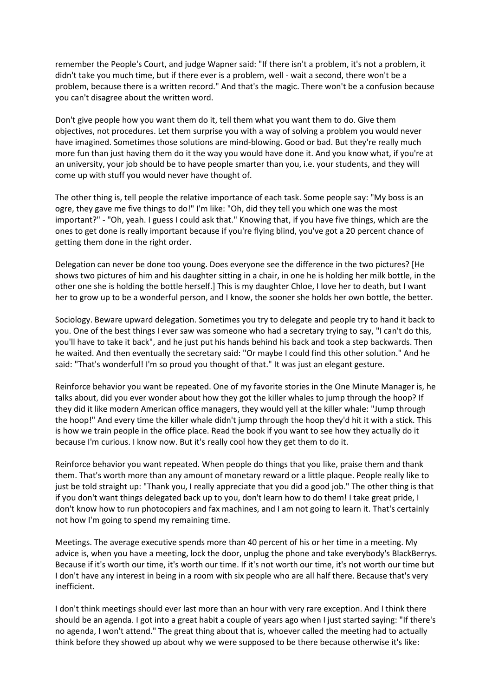remember the People's Court, and judge Wapner said: "If there isn't a problem, it's not a problem, it didn't take you much time, but if there ever is a problem, well - wait a second, there won't be a problem, because there is a written record." And that's the magic. There won't be a confusion because you can't disagree about the written word.

Don't give people how you want them do it, tell them what you want them to do. Give them objectives, not procedures. Let them surprise you with a way of solving a problem you would never have imagined. Sometimes those solutions are mind-blowing. Good or bad. But they're really much more fun than just having them do it the way you would have done it. And you know what, if you're at an university, your job should be to have people smarter than you, i.e. your students, and they will come up with stuff you would never have thought of.

The other thing is, tell people the relative importance of each task. Some people say: "My boss is an ogre, they gave me five things to do!" I'm like: "Oh, did they tell you which one was the most important?" - "Oh, yeah. I guess I could ask that." Knowing that, if you have five things, which are the ones to get done is really important because if you're flying blind, you've got a 20 percent chance of getting them done in the right order.

Delegation can never be done too young. Does everyone see the difference in the two pictures? [He shows two pictures of him and his daughter sitting in a chair, in one he is holding her milk bottle, in the other one she is holding the bottle herself.] This is my daughter Chloe, I love her to death, but I want her to grow up to be a wonderful person, and I know, the sooner she holds her own bottle, the better.

Sociology. Beware upward delegation. Sometimes you try to delegate and people try to hand it back to you. One of the best things I ever saw was someone who had a secretary trying to say, "I can't do this, you'll have to take it back", and he just put his hands behind his back and took a step backwards. Then he waited. And then eventually the secretary said: "Or maybe I could find this other solution." And he said: "That's wonderful! I'm so proud you thought of that." It was just an elegant gesture.

Reinforce behavior you want be repeated. One of my favorite stories in the One Minute Manager is, he talks about, did you ever wonder about how they got the killer whales to jump through the hoop? If they did it like modern American office managers, they would yell at the killer whale: "Jump through the hoop!" And every time the killer whale didn't jump through the hoop they'd hit it with a stick. This is how we train people in the office place. Read the book if you want to see how they actually do it because I'm curious. I know now. But it's really cool how they get them to do it.

Reinforce behavior you want repeated. When people do things that you like, praise them and thank them. That's worth more than any amount of monetary reward or a little plaque. People really like to just be told straight up: "Thank you, I really appreciate that you did a good job." The other thing is that if you don't want things delegated back up to you, don't learn how to do them! I take great pride, I don't know how to run photocopiers and fax machines, and I am not going to learn it. That's certainly not how I'm going to spend my remaining time.

Meetings. The average executive spends more than 40 percent of his or her time in a meeting. My advice is, when you have a meeting, lock the door, unplug the phone and take everybody's BlackBerrys. Because if it's worth our time, it's worth our time. If it's not worth our time, it's not worth our time but I don't have any interest in being in a room with six people who are all half there. Because that's very inefficient.

I don't think meetings should ever last more than an hour with very rare exception. And I think there should be an agenda. I got into a great habit a couple of years ago when I just started saying: "If there's no agenda, I won't attend." The great thing about that is, whoever called the meeting had to actually think before they showed up about why we were supposed to be there because otherwise it's like: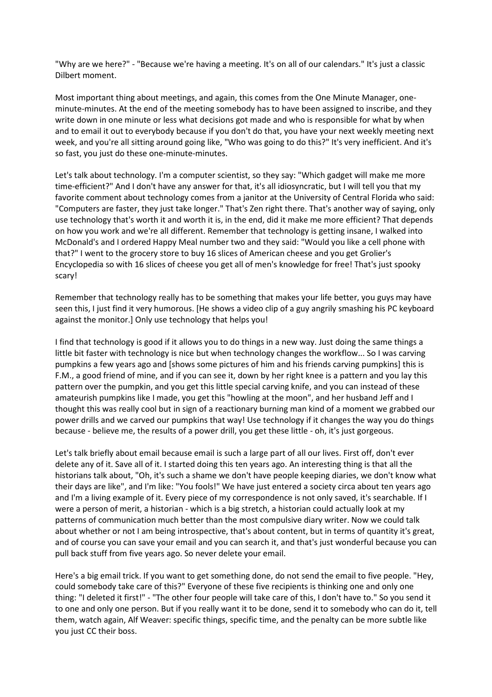"Why are we here?" - "Because we're having a meeting. It's on all of our calendars." It's just a classic Dilbert moment.

Most important thing about meetings, and again, this comes from the One Minute Manager, oneminute-minutes. At the end of the meeting somebody has to have been assigned to inscribe, and they write down in one minute or less what decisions got made and who is responsible for what by when and to email it out to everybody because if you don't do that, you have your next weekly meeting next week, and you're all sitting around going like, "Who was going to do this?" It's very inefficient. And it's so fast, you just do these one-minute-minutes.

Let's talk about technology. I'm a computer scientist, so they say: "Which gadget will make me more time-efficient?" And I don't have any answer for that, it's all idiosyncratic, but I will tell you that my favorite comment about technology comes from a janitor at the University of Central Florida who said: "Computers are faster, they just take longer." That's Zen right there. That's another way of saying, only use technology that's worth it and worth it is, in the end, did it make me more efficient? That depends on how you work and we're all different. Remember that technology is getting insane, I walked into McDonald's and I ordered Happy Meal number two and they said: "Would you like a cell phone with that?" I went to the grocery store to buy 16 slices of American cheese and you get Grolier's Encyclopedia so with 16 slices of cheese you get all of men's knowledge for free! That's just spooky scary!

Remember that technology really has to be something that makes your life better, you guys may have seen this, I just find it very humorous. [He shows a video clip of a guy angrily smashing his PC keyboard against the monitor.] Only use technology that helps you!

I find that technology is good if it allows you to do things in a new way. Just doing the same things a little bit faster with technology is nice but when technology changes the workflow... So I was carving pumpkins a few years ago and [shows some pictures of him and his friends carving pumpkins] this is F.M., a good friend of mine, and if you can see it, down by her right knee is a pattern and you lay this pattern over the pumpkin, and you get this little special carving knife, and you can instead of these amateurish pumpkins like I made, you get this "howling at the moon", and her husband Jeff and I thought this was really cool but in sign of a reactionary burning man kind of a moment we grabbed our power drills and we carved our pumpkins that way! Use technology if it changes the way you do things because - believe me, the results of a power drill, you get these little - oh, it's just gorgeous.

Let's talk briefly about email because email is such a large part of all our lives. First off, don't ever delete any of it. Save all of it. I started doing this ten years ago. An interesting thing is that all the historians talk about, "Oh, it's such a shame we don't have people keeping diaries, we don't know what their days are like", and I'm like: "You fools!" We have just entered a society circa about ten years ago and I'm a living example of it. Every piece of my correspondence is not only saved, it's searchable. If I were a person of merit, a historian - which is a big stretch, a historian could actually look at my patterns of communication much better than the most compulsive diary writer. Now we could talk about whether or not I am being introspective, that's about content, but in terms of quantity it's great, and of course you can save your email and you can search it, and that's just wonderful because you can pull back stuff from five years ago. So never delete your email.

Here's a big email trick. If you want to get something done, do not send the email to five people. "Hey, could somebody take care of this?" Everyone of these five recipients is thinking one and only one thing: "I deleted it first!" - "The other four people will take care of this, I don't have to." So you send it to one and only one person. But if you really want it to be done, send it to somebody who can do it, tell them, watch again, Alf Weaver: specific things, specific time, and the penalty can be more subtle like you just CC their boss.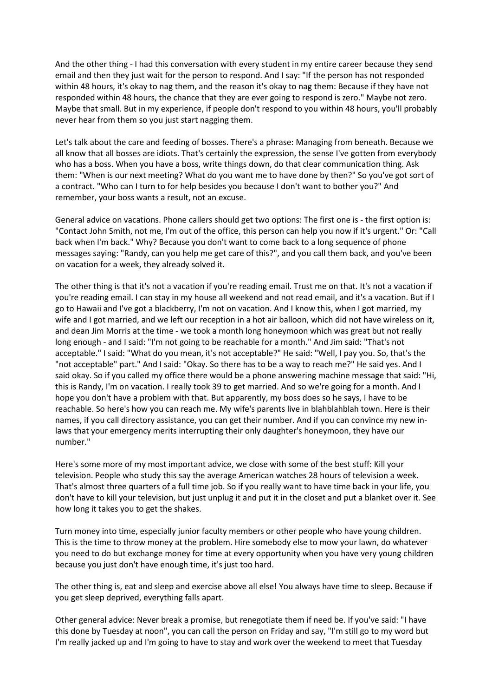And the other thing - I had this conversation with every student in my entire career because they send email and then they just wait for the person to respond. And I say: "If the person has not responded within 48 hours, it's okay to nag them, and the reason it's okay to nag them: Because if they have not responded within 48 hours, the chance that they are ever going to respond is zero." Maybe not zero. Maybe that small. But in my experience, if people don't respond to you within 48 hours, you'll probably never hear from them so you just start nagging them.

Let's talk about the care and feeding of bosses. There's a phrase: Managing from beneath. Because we all know that all bosses are idiots. That's certainly the expression, the sense I've gotten from everybody who has a boss. When you have a boss, write things down, do that clear communication thing. Ask them: "When is our next meeting? What do you want me to have done by then?" So you've got sort of a contract. "Who can I turn to for help besides you because I don't want to bother you?" And remember, your boss wants a result, not an excuse.

General advice on vacations. Phone callers should get two options: The first one is - the first option is: "Contact John Smith, not me, I'm out of the office, this person can help you now if it's urgent." Or: "Call back when I'm back." Why? Because you don't want to come back to a long sequence of phone messages saying: "Randy, can you help me get care of this?", and you call them back, and you've been on vacation for a week, they already solved it.

The other thing is that it's not a vacation if you're reading email. Trust me on that. It's not a vacation if you're reading email. I can stay in my house all weekend and not read email, and it's a vacation. But if I go to Hawaii and I've got a blackberry, I'm not on vacation. And I know this, when I got married, my wife and I got married, and we left our reception in a hot air balloon, which did not have wireless on it, and dean Jim Morris at the time - we took a month long honeymoon which was great but not really long enough - and I said: "I'm not going to be reachable for a month." And Jim said: "That's not acceptable." I said: "What do you mean, it's not acceptable?" He said: "Well, I pay you. So, that's the "not acceptable" part." And I said: "Okay. So there has to be a way to reach me?" He said yes. And I said okay. So if you called my office there would be a phone answering machine message that said: "Hi, this is Randy, I'm on vacation. I really took 39 to get married. And so we're going for a month. And I hope you don't have a problem with that. But apparently, my boss does so he says, I have to be reachable. So here's how you can reach me. My wife's parents live in blahblahblah town. Here is their names, if you call directory assistance, you can get their number. And if you can convince my new inlaws that your emergency merits interrupting their only daughter's honeymoon, they have our number."

Here's some more of my most important advice, we close with some of the best stuff: Kill your television. People who study this say the average American watches 28 hours of television a week. That's almost three quarters of a full time job. So if you really want to have time back in your life, you don't have to kill your television, but just unplug it and put it in the closet and put a blanket over it. See how long it takes you to get the shakes.

Turn money into time, especially junior faculty members or other people who have young children. This is the time to throw money at the problem. Hire somebody else to mow your lawn, do whatever you need to do but exchange money for time at every opportunity when you have very young children because you just don't have enough time, it's just too hard.

The other thing is, eat and sleep and exercise above all else! You always have time to sleep. Because if you get sleep deprived, everything falls apart.

Other general advice: Never break a promise, but renegotiate them if need be. If you've said: "I have this done by Tuesday at noon", you can call the person on Friday and say, "I'm still go to my word but I'm really jacked up and I'm going to have to stay and work over the weekend to meet that Tuesday